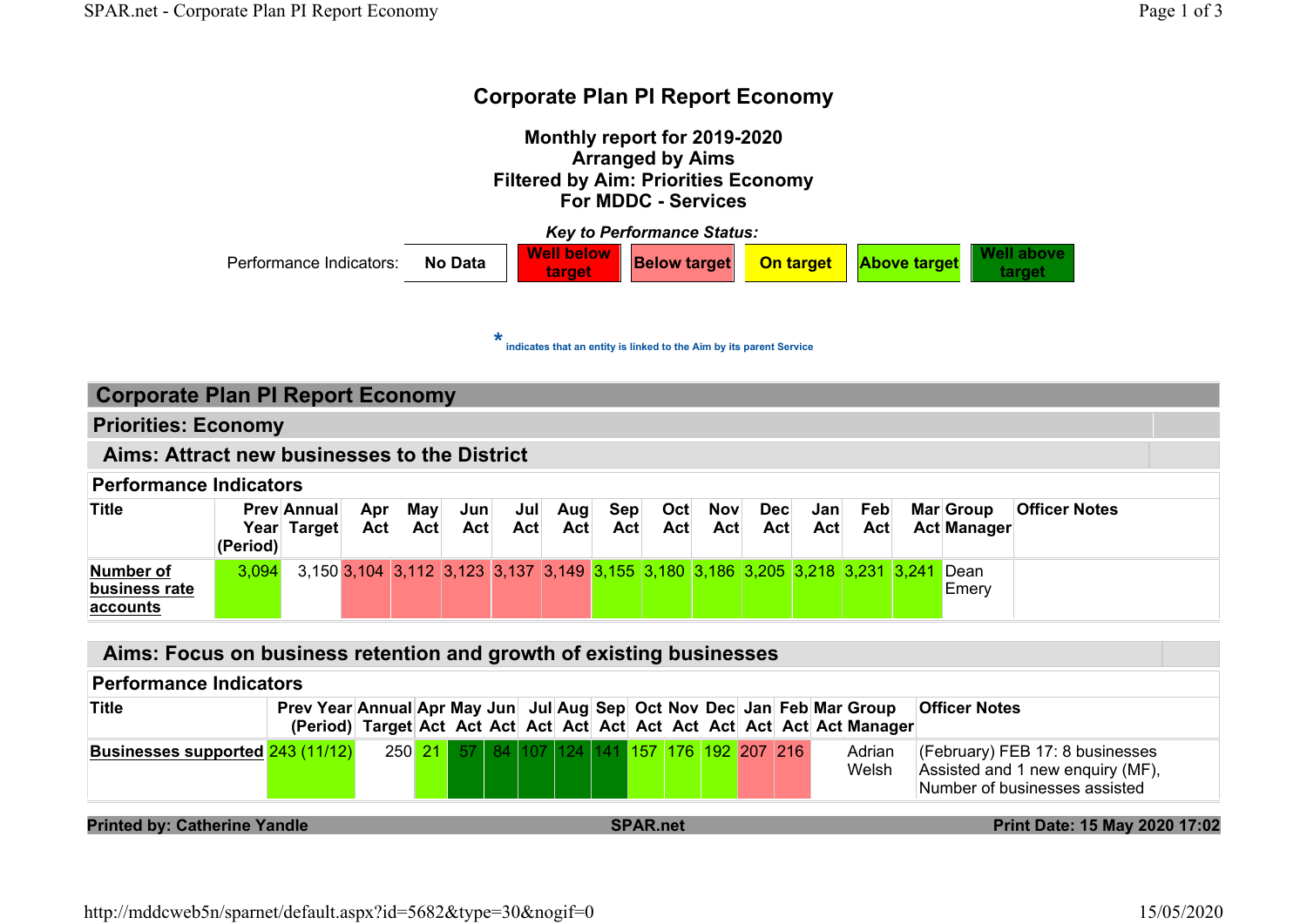# Corporate Plan PI Report Economy



#### Aims: Focus on business retention and growth of existing businesses

#### Performance Indicators

| <b>Title</b>                     |  |  |  |                                              |  |  |  | Prev Year Annual Apr May Jun Jul Aug Sep Oct Nov Dec Jan Feb Mar Group | <b>Officer Notes</b>                                                                                        |
|----------------------------------|--|--|--|----------------------------------------------|--|--|--|------------------------------------------------------------------------|-------------------------------------------------------------------------------------------------------------|
| Businesses supported 243 (11/12) |  |  |  | 250 21 57 84 107 124 141 157 176 192 207 216 |  |  |  | Adrian<br>Welsh                                                        | $(CF)$ (February) FEB 17: 8 businesses<br>Assisted and 1 new enquiry (MF),<br>Number of businesses assisted |

#### Printed by: Catherine Yandle SPAR.net Print Date: 15 May 2020 17:02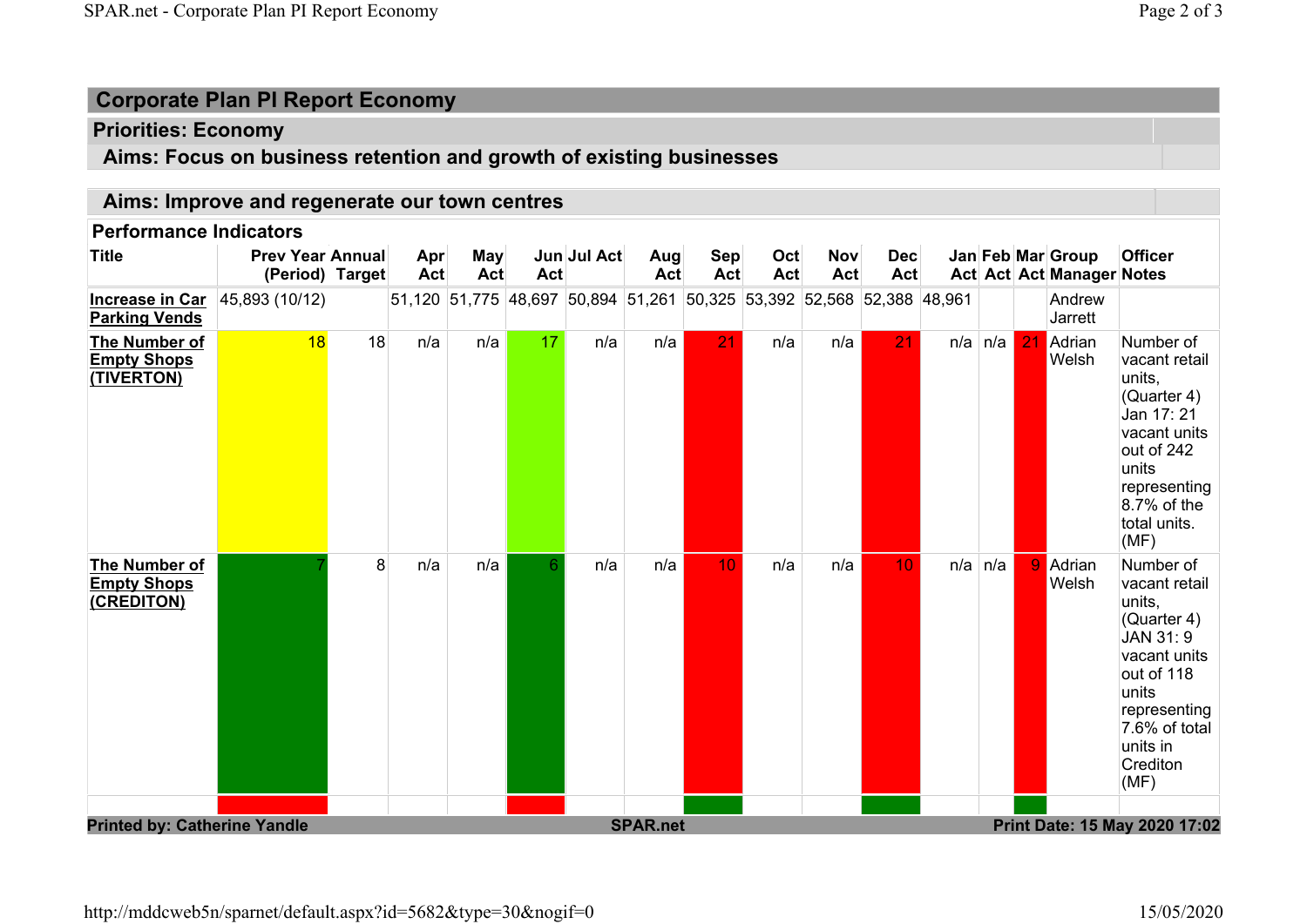# Corporate Plan PI Report Economy

## Priorities: Economy

# Aims: Focus on business retention and growth of existing businesses

### Aims: Improve and regenerate our town centres

#### Performance Indicators

| 51,120 51,775 48,697 50,894 51,261 50,325 53,392 52,568 52,388 48,961<br>45,893 (10/12)<br>Andrew<br><b>Increase in Car</b><br><b>Parking Vends</b><br>Jarrett<br>18<br>18<br>17<br>n/a<br>21<br>21<br>n/a<br>n/a<br>n/a<br>n/a<br>n/a<br>21<br>$n/a \mid n/a \mid$<br>Adrian<br>Number of<br>The Number of<br><b>Empty Shops</b><br>Welsh<br>vacant retail<br>(TIVERTON)<br>units,<br>(Quarter 4)<br>Jan 17: 21<br>vacant units<br>out of 242<br>units<br>representing<br>$8.7%$ of the<br>total units.<br>(MF)<br>8<br>n/a<br>n/a<br>6<br>n/a<br>n/a<br>10<br>n/a<br>n/a<br>9 Adrian<br>10<br>$n/a \mid n/a$<br>Number of<br>The Number of<br><b>Empty Shops</b><br>Welsh<br>vacant retail<br>(CREDITON)<br>units,<br>(Quarter 4)<br>JAN 31: 9<br>vacant units<br>out of 118<br>units<br>representing<br>7.6% of total<br>units in<br>Crediton<br>(MF)<br><b>Printed by: Catherine Yandle</b> | <b>Title</b> | <b>Prev Year Annual</b><br>(Period) Target | Apr<br>Act | <b>May</b><br><b>Act</b> | Act | Jun Jul Act | Aug<br>Act      | <b>Sep</b><br>Act | Oct<br><b>Act</b> | <b>Nov</b><br>Act | <b>Dec</b><br>Act |  | Jan Feb Mar Group<br>Act Act Act Manager Notes | <b>Officer</b> |
|-------------------------------------------------------------------------------------------------------------------------------------------------------------------------------------------------------------------------------------------------------------------------------------------------------------------------------------------------------------------------------------------------------------------------------------------------------------------------------------------------------------------------------------------------------------------------------------------------------------------------------------------------------------------------------------------------------------------------------------------------------------------------------------------------------------------------------------------------------------------------------------------------|--------------|--------------------------------------------|------------|--------------------------|-----|-------------|-----------------|-------------------|-------------------|-------------------|-------------------|--|------------------------------------------------|----------------|
|                                                                                                                                                                                                                                                                                                                                                                                                                                                                                                                                                                                                                                                                                                                                                                                                                                                                                                 |              |                                            |            |                          |     |             |                 |                   |                   |                   |                   |  |                                                |                |
|                                                                                                                                                                                                                                                                                                                                                                                                                                                                                                                                                                                                                                                                                                                                                                                                                                                                                                 |              |                                            |            |                          |     |             |                 |                   |                   |                   |                   |  |                                                |                |
| Print Date: 15 May 2020 17:02                                                                                                                                                                                                                                                                                                                                                                                                                                                                                                                                                                                                                                                                                                                                                                                                                                                                   |              |                                            |            |                          |     |             |                 |                   |                   |                   |                   |  |                                                |                |
|                                                                                                                                                                                                                                                                                                                                                                                                                                                                                                                                                                                                                                                                                                                                                                                                                                                                                                 |              |                                            |            |                          |     |             | <b>SPAR.net</b> |                   |                   |                   |                   |  |                                                |                |